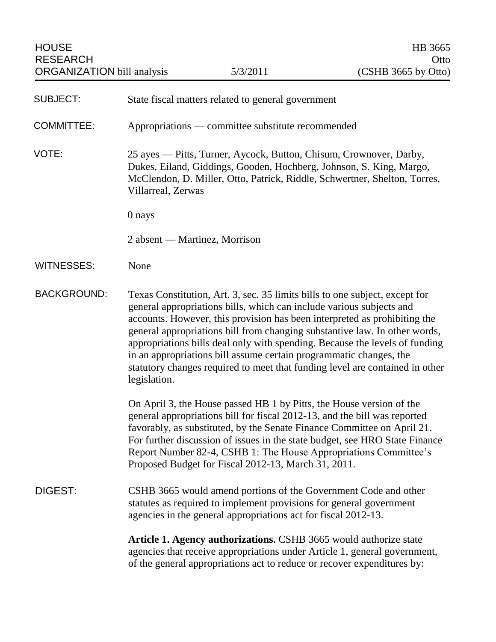| <b>SUBJECT:</b>    | State fiscal matters related to general government                                                                                                                                                                                                                                                                                                                                                                                                                                                                                                                  |
|--------------------|---------------------------------------------------------------------------------------------------------------------------------------------------------------------------------------------------------------------------------------------------------------------------------------------------------------------------------------------------------------------------------------------------------------------------------------------------------------------------------------------------------------------------------------------------------------------|
| <b>COMMITTEE:</b>  | Appropriations — committee substitute recommended                                                                                                                                                                                                                                                                                                                                                                                                                                                                                                                   |
| VOTE:              | 25 ayes — Pitts, Turner, Aycock, Button, Chisum, Crownover, Darby,<br>Dukes, Eiland, Giddings, Gooden, Hochberg, Johnson, S. King, Margo,<br>McClendon, D. Miller, Otto, Patrick, Riddle, Schwertner, Shelton, Torres,<br>Villarreal, Zerwas                                                                                                                                                                                                                                                                                                                        |
|                    | 0 nays                                                                                                                                                                                                                                                                                                                                                                                                                                                                                                                                                              |
|                    | 2 absent — Martinez, Morrison                                                                                                                                                                                                                                                                                                                                                                                                                                                                                                                                       |
| <b>WITNESSES:</b>  | None                                                                                                                                                                                                                                                                                                                                                                                                                                                                                                                                                                |
| <b>BACKGROUND:</b> | Texas Constitution, Art. 3, sec. 35 limits bills to one subject, except for<br>general appropriations bills, which can include various subjects and<br>accounts. However, this provision has been interpreted as prohibiting the<br>general appropriations bill from changing substantive law. In other words,<br>appropriations bills deal only with spending. Because the levels of funding<br>in an appropriations bill assume certain programmatic changes, the<br>statutory changes required to meet that funding level are contained in other<br>legislation. |
|                    | On April 3, the House passed HB 1 by Pitts, the House version of the<br>general appropriations bill for fiscal 2012-13, and the bill was reported<br>favorably, as substituted, by the Senate Finance Committee on April 21.<br>For further discussion of issues in the state budget, see HRO State Finance<br>Report Number 82-4, CSHB 1: The House Appropriations Committee's<br>Proposed Budget for Fiscal 2012-13, March 31, 2011.                                                                                                                              |
| DIGEST:            | CSHB 3665 would amend portions of the Government Code and other<br>statutes as required to implement provisions for general government<br>agencies in the general appropriations act for fiscal 2012-13.                                                                                                                                                                                                                                                                                                                                                            |
|                    | Article 1. Agency authorizations. CSHB 3665 would authorize state<br>agencies that receive appropriations under Article 1, general government,<br>of the general appropriations act to reduce or recover expenditures by:                                                                                                                                                                                                                                                                                                                                           |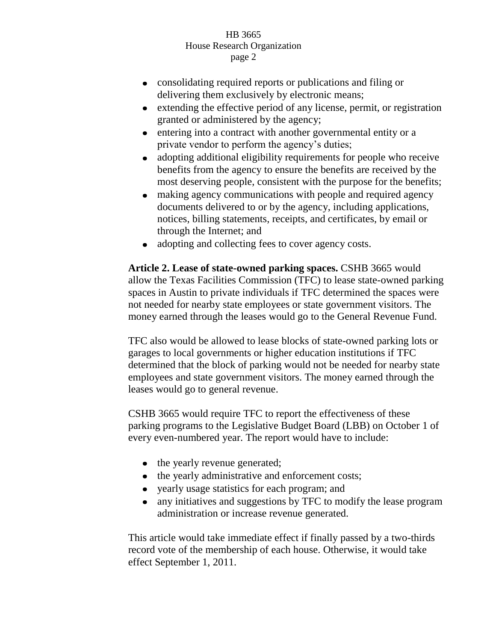- consolidating required reports or publications and filing or delivering them exclusively by electronic means;
- extending the effective period of any license, permit, or registration  $\bullet$ granted or administered by the agency;
- entering into a contract with another governmental entity or a  $\bullet$ private vendor to perform the agency's duties;
- $\bullet$ adopting additional eligibility requirements for people who receive benefits from the agency to ensure the benefits are received by the most deserving people, consistent with the purpose for the benefits;
- making agency communications with people and required agency  $\bullet$ documents delivered to or by the agency, including applications, notices, billing statements, receipts, and certificates, by email or through the Internet; and
- adopting and collecting fees to cover agency costs.  $\bullet$

**Article 2. Lease of state-owned parking spaces.** CSHB 3665 would allow the Texas Facilities Commission (TFC) to lease state-owned parking spaces in Austin to private individuals if TFC determined the spaces were not needed for nearby state employees or state government visitors. The money earned through the leases would go to the General Revenue Fund.

TFC also would be allowed to lease blocks of state-owned parking lots or garages to local governments or higher education institutions if TFC determined that the block of parking would not be needed for nearby state employees and state government visitors. The money earned through the leases would go to general revenue.

CSHB 3665 would require TFC to report the effectiveness of these parking programs to the Legislative Budget Board (LBB) on October 1 of every even-numbered year. The report would have to include:

- the yearly revenue generated;
- the yearly administrative and enforcement costs;
- yearly usage statistics for each program; and
- any initiatives and suggestions by TFC to modify the lease program  $\bullet$ administration or increase revenue generated.

This article would take immediate effect if finally passed by a two-thirds record vote of the membership of each house. Otherwise, it would take effect September 1, 2011.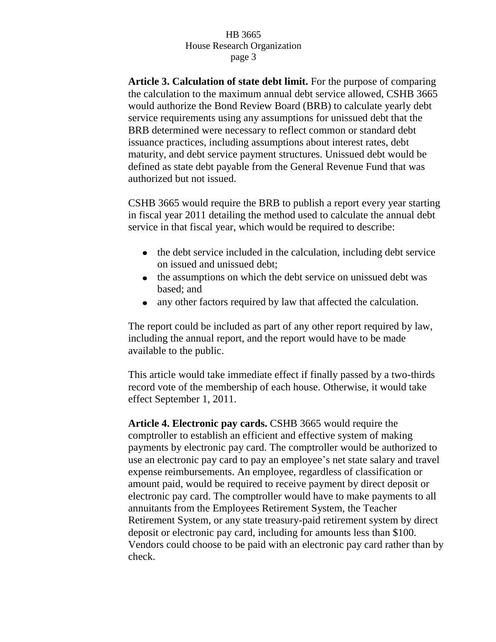**Article 3. Calculation of state debt limit.** For the purpose of comparing the calculation to the maximum annual debt service allowed, CSHB 3665 would authorize the Bond Review Board (BRB) to calculate yearly debt service requirements using any assumptions for unissued debt that the BRB determined were necessary to reflect common or standard debt issuance practices, including assumptions about interest rates, debt maturity, and debt service payment structures. Unissued debt would be defined as state debt payable from the General Revenue Fund that was authorized but not issued.

CSHB 3665 would require the BRB to publish a report every year starting in fiscal year 2011 detailing the method used to calculate the annual debt service in that fiscal year, which would be required to describe:

- the debt service included in the calculation, including debt service on issued and unissued debt;
- the assumptions on which the debt service on unissued debt was based; and
- $\bullet$ any other factors required by law that affected the calculation.

The report could be included as part of any other report required by law, including the annual report, and the report would have to be made available to the public.

This article would take immediate effect if finally passed by a two-thirds record vote of the membership of each house. Otherwise, it would take effect September 1, 2011.

**Article 4. Electronic pay cards.** CSHB 3665 would require the comptroller to establish an efficient and effective system of making payments by electronic pay card. The comptroller would be authorized to use an electronic pay card to pay an employee's net state salary and travel expense reimbursements. An employee, regardless of classification or amount paid, would be required to receive payment by direct deposit or electronic pay card. The comptroller would have to make payments to all annuitants from the Employees Retirement System, the Teacher Retirement System, or any state treasury-paid retirement system by direct deposit or electronic pay card, including for amounts less than \$100. Vendors could choose to be paid with an electronic pay card rather than by check.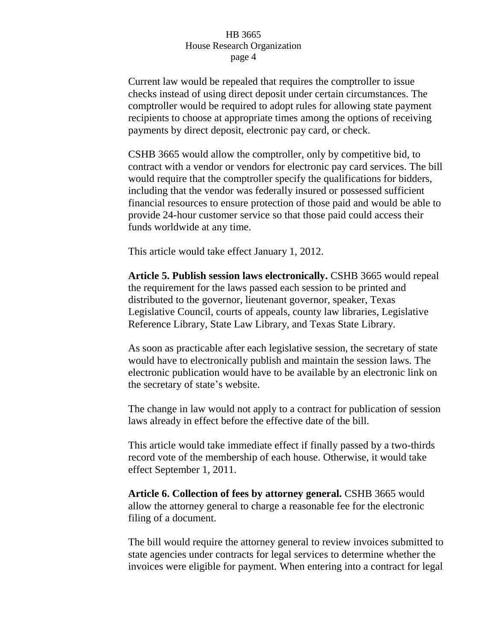Current law would be repealed that requires the comptroller to issue checks instead of using direct deposit under certain circumstances. The comptroller would be required to adopt rules for allowing state payment recipients to choose at appropriate times among the options of receiving payments by direct deposit, electronic pay card, or check.

CSHB 3665 would allow the comptroller, only by competitive bid, to contract with a vendor or vendors for electronic pay card services. The bill would require that the comptroller specify the qualifications for bidders, including that the vendor was federally insured or possessed sufficient financial resources to ensure protection of those paid and would be able to provide 24-hour customer service so that those paid could access their funds worldwide at any time.

This article would take effect January 1, 2012.

**Article 5. Publish session laws electronically.** CSHB 3665 would repeal the requirement for the laws passed each session to be printed and distributed to the governor, lieutenant governor, speaker, Texas Legislative Council, courts of appeals, county law libraries, Legislative Reference Library, State Law Library, and Texas State Library.

As soon as practicable after each legislative session, the secretary of state would have to electronically publish and maintain the session laws. The electronic publication would have to be available by an electronic link on the secretary of state's website.

The change in law would not apply to a contract for publication of session laws already in effect before the effective date of the bill.

This article would take immediate effect if finally passed by a two-thirds record vote of the membership of each house. Otherwise, it would take effect September 1, 2011.

**Article 6. Collection of fees by attorney general.** CSHB 3665 would allow the attorney general to charge a reasonable fee for the electronic filing of a document.

The bill would require the attorney general to review invoices submitted to state agencies under contracts for legal services to determine whether the invoices were eligible for payment. When entering into a contract for legal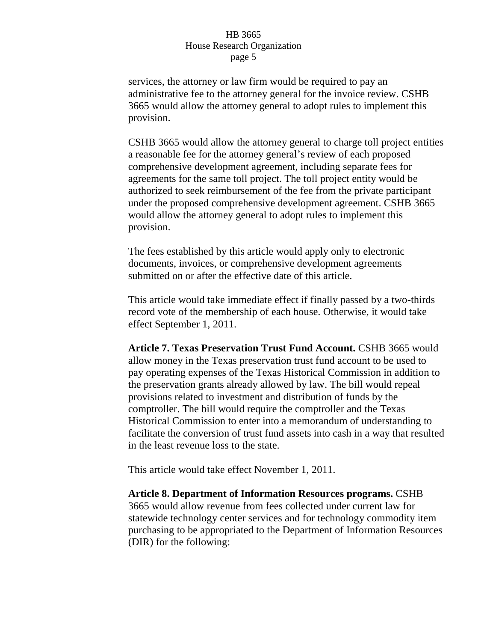services, the attorney or law firm would be required to pay an administrative fee to the attorney general for the invoice review. CSHB 3665 would allow the attorney general to adopt rules to implement this provision.

CSHB 3665 would allow the attorney general to charge toll project entities a reasonable fee for the attorney general's review of each proposed comprehensive development agreement, including separate fees for agreements for the same toll project. The toll project entity would be authorized to seek reimbursement of the fee from the private participant under the proposed comprehensive development agreement. CSHB 3665 would allow the attorney general to adopt rules to implement this provision.

The fees established by this article would apply only to electronic documents, invoices, or comprehensive development agreements submitted on or after the effective date of this article.

This article would take immediate effect if finally passed by a two-thirds record vote of the membership of each house. Otherwise, it would take effect September 1, 2011.

**Article 7. Texas Preservation Trust Fund Account.** CSHB 3665 would allow money in the Texas preservation trust fund account to be used to pay operating expenses of the Texas Historical Commission in addition to the preservation grants already allowed by law. The bill would repeal provisions related to investment and distribution of funds by the comptroller. The bill would require the comptroller and the Texas Historical Commission to enter into a memorandum of understanding to facilitate the conversion of trust fund assets into cash in a way that resulted in the least revenue loss to the state.

This article would take effect November 1, 2011.

**Article 8. Department of Information Resources programs.** CSHB 3665 would allow revenue from fees collected under current law for statewide technology center services and for technology commodity item purchasing to be appropriated to the Department of Information Resources (DIR) for the following: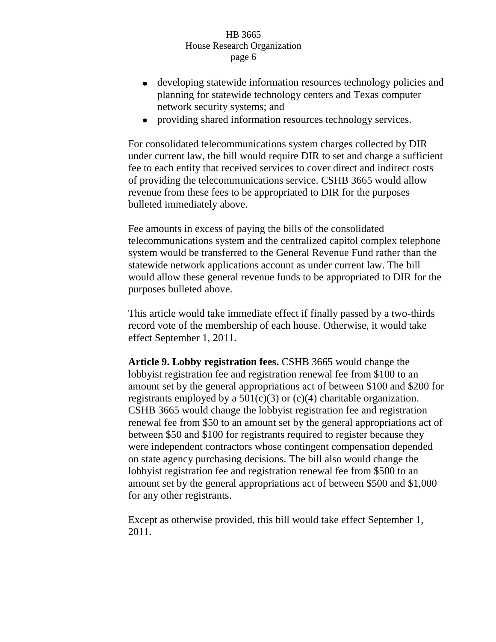- developing statewide information resources technology policies and planning for statewide technology centers and Texas computer network security systems; and
- providing shared information resources technology services.

For consolidated telecommunications system charges collected by DIR under current law, the bill would require DIR to set and charge a sufficient fee to each entity that received services to cover direct and indirect costs of providing the telecommunications service. CSHB 3665 would allow revenue from these fees to be appropriated to DIR for the purposes bulleted immediately above.

Fee amounts in excess of paying the bills of the consolidated telecommunications system and the centralized capitol complex telephone system would be transferred to the General Revenue Fund rather than the statewide network applications account as under current law. The bill would allow these general revenue funds to be appropriated to DIR for the purposes bulleted above.

This article would take immediate effect if finally passed by a two-thirds record vote of the membership of each house. Otherwise, it would take effect September 1, 2011.

**Article 9. Lobby registration fees.** CSHB 3665 would change the lobbyist registration fee and registration renewal fee from \$100 to an amount set by the general appropriations act of between \$100 and \$200 for registrants employed by a  $501(c)(3)$  or  $(c)(4)$  charitable organization. CSHB 3665 would change the lobbyist registration fee and registration renewal fee from \$50 to an amount set by the general appropriations act of between \$50 and \$100 for registrants required to register because they were independent contractors whose contingent compensation depended on state agency purchasing decisions. The bill also would change the lobbyist registration fee and registration renewal fee from \$500 to an amount set by the general appropriations act of between \$500 and \$1,000 for any other registrants.

Except as otherwise provided, this bill would take effect September 1, 2011.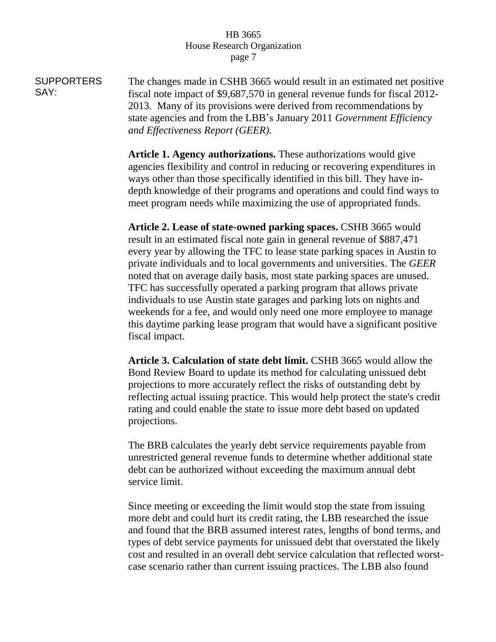**SUPPORTERS** SAY: The changes made in CSHB 3665 would result in an estimated net positive fiscal note impact of \$9,687,570 in general revenue funds for fiscal 2012- 2013. Many of its provisions were derived from recommendations by state agencies and from the LBB's January 2011 *Government Efficiency and Effectiveness Report (GEER).*

> **Article 1. Agency authorizations.** These authorizations would give agencies flexibility and control in reducing or recovering expenditures in ways other than those specifically identified in this bill. They have indepth knowledge of their programs and operations and could find ways to meet program needs while maximizing the use of appropriated funds.

> **Article 2. Lease of state-owned parking spaces.** CSHB 3665 would result in an estimated fiscal note gain in general revenue of \$887,471 every year by allowing the TFC to lease state parking spaces in Austin to private individuals and to local governments and universities. The *GEER* noted that on average daily basis, most state parking spaces are unused. TFC has successfully operated a parking program that allows private individuals to use Austin state garages and parking lots on nights and weekends for a fee, and would only need one more employee to manage this daytime parking lease program that would have a significant positive fiscal impact.

**Article 3. Calculation of state debt limit.** CSHB 3665 would allow the Bond Review Board to update its method for calculating unissued debt projections to more accurately reflect the risks of outstanding debt by reflecting actual issuing practice. This would help protect the state's credit rating and could enable the state to issue more debt based on updated projections.

The BRB calculates the yearly debt service requirements payable from unrestricted general revenue funds to determine whether additional state debt can be authorized without exceeding the maximum annual debt service limit.

Since meeting or exceeding the limit would stop the state from issuing more debt and could hurt its credit rating, the LBB researched the issue and found that the BRB assumed interest rates, lengths of bond terms, and types of debt service payments for unissued debt that overstated the likely cost and resulted in an overall debt service calculation that reflected worstcase scenario rather than current issuing practices. The LBB also found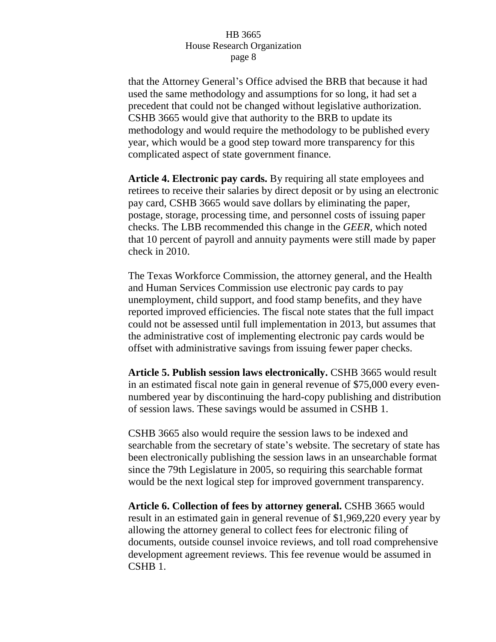that the Attorney General's Office advised the BRB that because it had used the same methodology and assumptions for so long, it had set a precedent that could not be changed without legislative authorization. CSHB 3665 would give that authority to the BRB to update its methodology and would require the methodology to be published every year, which would be a good step toward more transparency for this complicated aspect of state government finance.

**Article 4. Electronic pay cards.** By requiring all state employees and retirees to receive their salaries by direct deposit or by using an electronic pay card, CSHB 3665 would save dollars by eliminating the paper, postage, storage, processing time, and personnel costs of issuing paper checks. The LBB recommended this change in the *GEER*, which noted that 10 percent of payroll and annuity payments were still made by paper check in 2010.

The Texas Workforce Commission, the attorney general, and the Health and Human Services Commission use electronic pay cards to pay unemployment, child support, and food stamp benefits, and they have reported improved efficiencies. The fiscal note states that the full impact could not be assessed until full implementation in 2013, but assumes that the administrative cost of implementing electronic pay cards would be offset with administrative savings from issuing fewer paper checks.

**Article 5. Publish session laws electronically.** CSHB 3665 would result in an estimated fiscal note gain in general revenue of \$75,000 every evennumbered year by discontinuing the hard-copy publishing and distribution of session laws. These savings would be assumed in CSHB 1.

CSHB 3665 also would require the session laws to be indexed and searchable from the secretary of state's website. The secretary of state has been electronically publishing the session laws in an unsearchable format since the 79th Legislature in 2005, so requiring this searchable format would be the next logical step for improved government transparency.

**Article 6. Collection of fees by attorney general.** CSHB 3665 would result in an estimated gain in general revenue of \$1,969,220 every year by allowing the attorney general to collect fees for electronic filing of documents, outside counsel invoice reviews, and toll road comprehensive development agreement reviews. This fee revenue would be assumed in CSHB 1.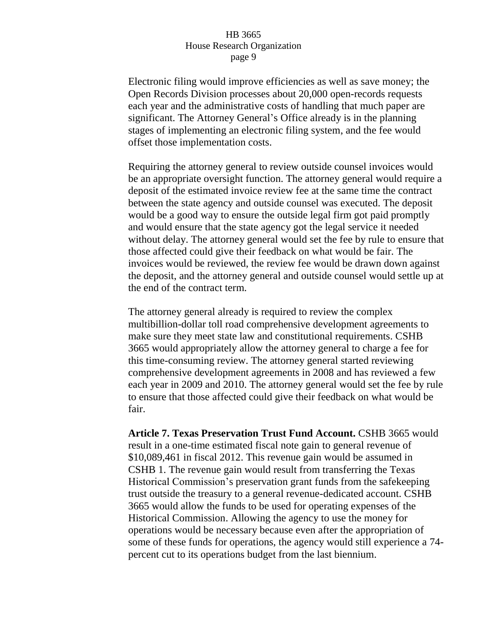Electronic filing would improve efficiencies as well as save money; the Open Records Division processes about 20,000 open-records requests each year and the administrative costs of handling that much paper are significant. The Attorney General's Office already is in the planning stages of implementing an electronic filing system, and the fee would offset those implementation costs.

Requiring the attorney general to review outside counsel invoices would be an appropriate oversight function. The attorney general would require a deposit of the estimated invoice review fee at the same time the contract between the state agency and outside counsel was executed. The deposit would be a good way to ensure the outside legal firm got paid promptly and would ensure that the state agency got the legal service it needed without delay. The attorney general would set the fee by rule to ensure that those affected could give their feedback on what would be fair. The invoices would be reviewed, the review fee would be drawn down against the deposit, and the attorney general and outside counsel would settle up at the end of the contract term.

The attorney general already is required to review the complex multibillion-dollar toll road comprehensive development agreements to make sure they meet state law and constitutional requirements. CSHB 3665 would appropriately allow the attorney general to charge a fee for this time-consuming review. The attorney general started reviewing comprehensive development agreements in 2008 and has reviewed a few each year in 2009 and 2010. The attorney general would set the fee by rule to ensure that those affected could give their feedback on what would be fair.

**Article 7. Texas Preservation Trust Fund Account.** CSHB 3665 would result in a one-time estimated fiscal note gain to general revenue of \$10,089,461 in fiscal 2012. This revenue gain would be assumed in CSHB 1. The revenue gain would result from transferring the Texas Historical Commission's preservation grant funds from the safekeeping trust outside the treasury to a general revenue-dedicated account. CSHB 3665 would allow the funds to be used for operating expenses of the Historical Commission. Allowing the agency to use the money for operations would be necessary because even after the appropriation of some of these funds for operations, the agency would still experience a 74 percent cut to its operations budget from the last biennium.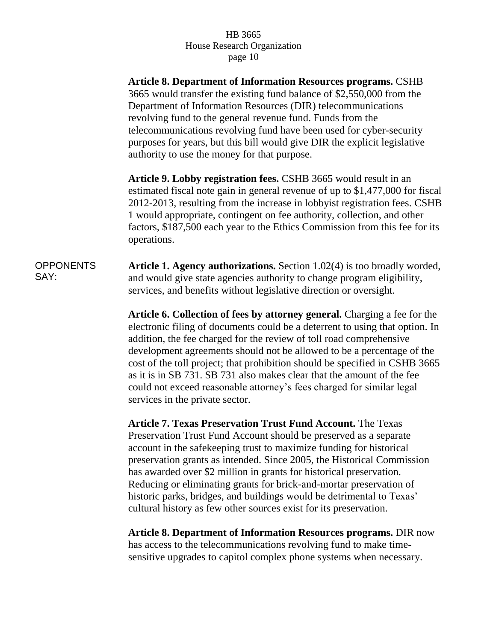**Article 8. Department of Information Resources programs.** CSHB 3665 would transfer the existing fund balance of \$2,550,000 from the Department of Information Resources (DIR) telecommunications revolving fund to the general revenue fund. Funds from the telecommunications revolving fund have been used for cyber-security purposes for years, but this bill would give DIR the explicit legislative authority to use the money for that purpose.

**Article 9. Lobby registration fees.** CSHB 3665 would result in an estimated fiscal note gain in general revenue of up to \$1,477,000 for fiscal 2012-2013, resulting from the increase in lobbyist registration fees. CSHB 1 would appropriate, contingent on fee authority, collection, and other factors, \$187,500 each year to the Ethics Commission from this fee for its operations.

**OPPONENTS** SAY: **Article 1. Agency authorizations.** Section 1.02(4) is too broadly worded, and would give state agencies authority to change program eligibility, services, and benefits without legislative direction or oversight.

> **Article 6. Collection of fees by attorney general.** Charging a fee for the electronic filing of documents could be a deterrent to using that option. In addition, the fee charged for the review of toll road comprehensive development agreements should not be allowed to be a percentage of the cost of the toll project; that prohibition should be specified in CSHB 3665 as it is in SB 731. SB 731 also makes clear that the amount of the fee could not exceed reasonable attorney's fees charged for similar legal services in the private sector.

**Article 7. Texas Preservation Trust Fund Account.** The Texas Preservation Trust Fund Account should be preserved as a separate account in the safekeeping trust to maximize funding for historical preservation grants as intended. Since 2005, the Historical Commission has awarded over \$2 million in grants for historical preservation. Reducing or eliminating grants for brick-and-mortar preservation of historic parks, bridges, and buildings would be detrimental to Texas' cultural history as few other sources exist for its preservation.

**Article 8. Department of Information Resources programs.** DIR now has access to the telecommunications revolving fund to make timesensitive upgrades to capitol complex phone systems when necessary.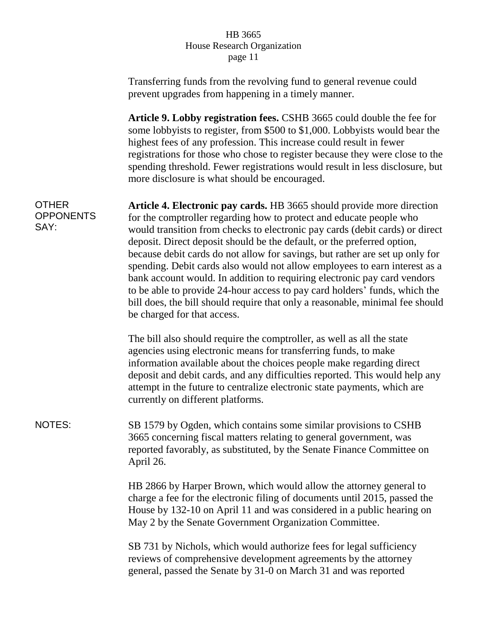|                                          | Transferring funds from the revolving fund to general revenue could<br>prevent upgrades from happening in a timely manner.                                                                                                                                                                                                                                                                                                                                                                                                                                                                                                                                                                                                                       |
|------------------------------------------|--------------------------------------------------------------------------------------------------------------------------------------------------------------------------------------------------------------------------------------------------------------------------------------------------------------------------------------------------------------------------------------------------------------------------------------------------------------------------------------------------------------------------------------------------------------------------------------------------------------------------------------------------------------------------------------------------------------------------------------------------|
|                                          | Article 9. Lobby registration fees. CSHB 3665 could double the fee for<br>some lobbyists to register, from \$500 to \$1,000. Lobbyists would bear the<br>highest fees of any profession. This increase could result in fewer<br>registrations for those who chose to register because they were close to the<br>spending threshold. Fewer registrations would result in less disclosure, but<br>more disclosure is what should be encouraged.                                                                                                                                                                                                                                                                                                    |
| <b>OTHER</b><br><b>OPPONENTS</b><br>SAY: | Article 4. Electronic pay cards. HB 3665 should provide more direction<br>for the comptroller regarding how to protect and educate people who<br>would transition from checks to electronic pay cards (debit cards) or direct<br>deposit. Direct deposit should be the default, or the preferred option,<br>because debit cards do not allow for savings, but rather are set up only for<br>spending. Debit cards also would not allow employees to earn interest as a<br>bank account would. In addition to requiring electronic pay card vendors<br>to be able to provide 24-hour access to pay card holders' funds, which the<br>bill does, the bill should require that only a reasonable, minimal fee should<br>be charged for that access. |
|                                          | The bill also should require the comptroller, as well as all the state<br>agencies using electronic means for transferring funds, to make<br>information available about the choices people make regarding direct<br>deposit and debit cards, and any difficulties reported. This would help any<br>attempt in the future to centralize electronic state payments, which are<br>currently on different platforms.                                                                                                                                                                                                                                                                                                                                |
| <b>NOTES:</b>                            | SB 1579 by Ogden, which contains some similar provisions to CSHB<br>3665 concerning fiscal matters relating to general government, was<br>reported favorably, as substituted, by the Senate Finance Committee on<br>April 26.                                                                                                                                                                                                                                                                                                                                                                                                                                                                                                                    |
|                                          | HB 2866 by Harper Brown, which would allow the attorney general to<br>charge a fee for the electronic filing of documents until 2015, passed the<br>House by 132-10 on April 11 and was considered in a public hearing on<br>May 2 by the Senate Government Organization Committee.                                                                                                                                                                                                                                                                                                                                                                                                                                                              |
|                                          | SB 731 by Nichols, which would authorize fees for legal sufficiency<br>reviews of comprehensive development agreements by the attorney<br>general, passed the Senate by 31-0 on March 31 and was reported                                                                                                                                                                                                                                                                                                                                                                                                                                                                                                                                        |